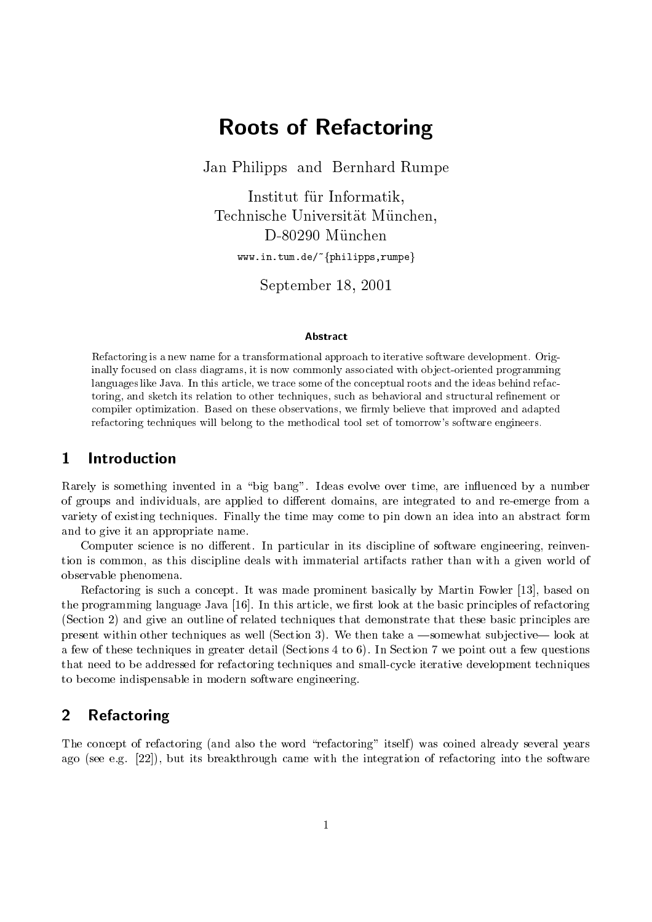# **Roots of Refactoring**

Jan Philipps and Bernhard Rumpe

Institut für Informatik, Technische Universität München. D-80290 München www.in.tum.de/"{philipps,rumpe}

September 18, 2001

# **Abstract**

Refactoring is a new name for a transformational approach to iterative software development. Originally focused on class diagrams, it is now commonly associated with object-oriented programming languages like Java. In this article, we trace some of the conceptual roots and the ideas behind refactoring, and sketch its relation to other techniques, such as behavioral and structural refinement or compiler optimization. Based on these observations, we firmly believe that improved and adapted refactoring techniques will belong to the methodical tool set of tomorrow's software engineers.

## $\mathbf{1}$ Introduction

Rarely is something invented in a "big bang". Ideas evolve over time, are influenced by a number of groups and individuals, are applied to different domains, are integrated to and re-emerge from a variety of existing techniques. Finally the time may come to pin down an idea into an abstract form and to give it an appropriate name.

Computer science is no different. In particular in its discipline of software engineering, reinvention is common, as this discipline deals with immaterial artifacts rather than with a given world of observable phenomena.

Refactoring is such a concept. It was made prominent basically by Martin Fowler [13], based on the programming language Java [16]. In this article, we first look at the basic principles of refactoring (Section 2) and give an outline of related techniques that demonstrate that these basic principles are present within other techniques as well (Section 3). We then take a -somewhat subjective look at a few of these techniques in greater detail (Sections 4 to 6). In Section 7 we point out a few questions that need to be addressed for refactoring techniques and small-cycle iterative development techniques to become indispensable in modern software engineering.

## $\overline{2}$ **Refactoring**

The concept of refactoring (and also the word "refactoring" itself) was coined already several years ago (see e.g. [22]), but its breakthrough came with the integration of refactoring into the software

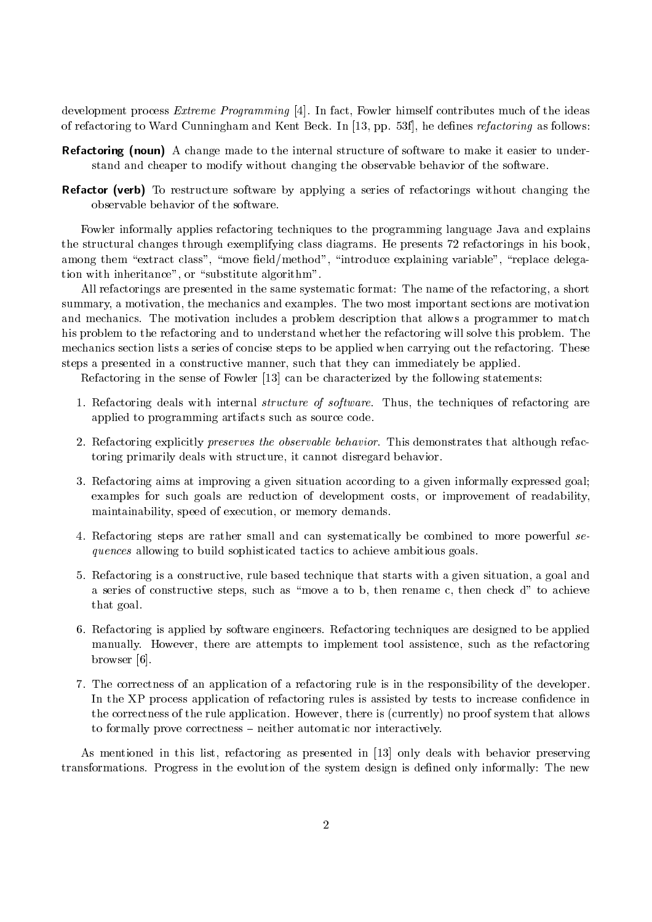development process *Extreme Programming* [4]. In fact, Fowler himself contributes much of the ideas of refactoring to Ward Cunningham and Kent Beck. In [13, pp. 53f], he defines refactoring as follows:

- **Refactoring (noun)** A change made to the internal structure of software to make it easier to understand and cheaper to modify without changing the observable behavior of the software.
- **Refactor (verb)** To restructure software by applying a series of refactorings without changing the observable behavior of the software.

Fowler informally applies refactoring techniques to the programming language Java and explains the structural changes through exemplifying class diagrams. He presents 72 refactorings in his book, among them "extract class", "move field/method", "introduce explaining variable", "replace delegation with inheritance", or "substitute algorithm".

All refactorings are presented in the same systematic format: The name of the refactoring, a short summary, a motivation, the mechanics and examples. The two most important sections are motivation and mechanics. The motivation includes a problem description that allows a programmer to match his problem to the refactoring and to understand whether the refactoring will solve this problem. The mechanics section lists a series of concise steps to be applied when carrying out the refactoring. These steps a presented in a constructive manner, such that they can immediately be applied.

Refactoring in the sense of Fowler [13] can be characterized by the following statements:

- 1. Refactoring deals with internal *structure of software*. Thus, the techniques of refactoring are applied to programming artifacts such as source code.
- 2. Refactoring explicitly preserves the observable behavior. This demonstrates that although refactoring primarily deals with structure, it cannot disregard behavior.
- 3. Refactoring aims at improving a given situation according to a given informally expressed goal; examples for such goals are reduction of development costs, or improvement of readability, maintainability, speed of execution, or memory demands.
- 4. Refactoring steps are rather small and can systematically be combined to more powerful se*quences* allowing to build sophisticated tactics to achieve ambitious goals.
- 5. Refactoring is a constructive, rule based technique that starts with a given situation, a goal and a series of constructive steps, such as "move a to b, then rename c, then check d" to achieve that goal.
- 6. Refactoring is applied by software engineers. Refactoring techniques are designed to be applied manually. However, there are attempts to implement tool assistence, such as the refactoring browser  $[6]$ .
- 7. The correctness of an application of a refactoring rule is in the responsibility of the developer. In the XP process application of refactoring rules is assisted by tests to increase confidence in the correctness of the rule application. However, there is (currently) no proof system that allows to formally prove correctness – neither automatic nor interactively.

As mentioned in this list, refactoring as presented in [13] only deals with behavior preserving transformations. Progress in the evolution of the system design is defined only informally: The new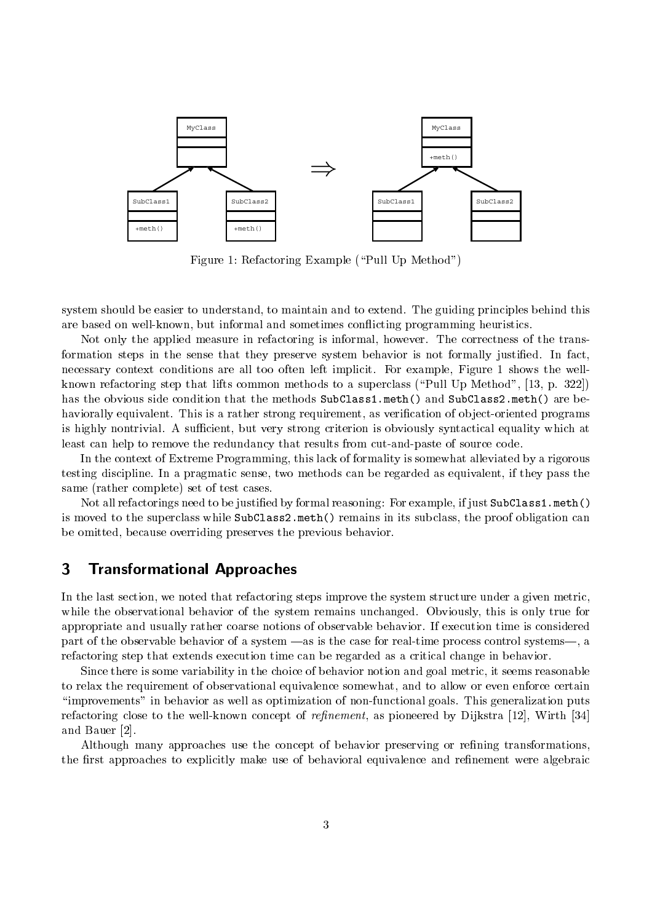

Figure 1: Refactoring Example ("Pull Up Method")

system should be easier to understand, to maintain and to extend. The guiding principles behind this are based on well-known, but informal and sometimes conflicting programming heuristics.

Not only the applied measure in refactoring is informal, however. The correctness of the transformation steps in the sense that they preserve system behavior is not formally justified. In fact, necessary context conditions are all too often left implicit. For example, Figure 1 shows the wellknown refactoring step that lifts common methods to a superclass ("Pull Up Method", [13, p. 322]) has the obvious side condition that the methods SubClass1.meth() and SubClass2.meth() are behaviorally equivalent. This is a rather strong requirement, as verification of object-oriented programs is highly nontrivial. A sufficient, but very strong criterion is obviously syntactical equality which at least can help to remove the redundancy that results from cut-and-paste of source code.

In the context of Extreme Programming, this lack of formality is somewhat alleviated by a rigorous testing discipline. In a pragmatic sense, two methods can be regarded as equivalent, if they pass the same (rather complete) set of test cases.

Not all refactorings need to be justified by formal reasoning: For example, if just SubClass1.meth() is moved to the superclass while SubClass 2.meth () remains in its subclass, the proof obligation can be omitted, because overriding preserves the previous behavior.

#### 3 **Transformational Approaches**

In the last section, we noted that refactoring steps improve the system structure under a given metric, while the observational behavior of the system remains unchanged. Obviously, this is only true for appropriate and usually rather coarse notions of observable behavior. If execution time is considered part of the observable behavior of a system —as is the case for real-time process control systems—, a refactoring step that extends execution time can be regarded as a critical change in behavior.

Since there is some variability in the choice of behavior notion and goal metric, it seems reasonable to relax the requirement of observational equivalence somewhat, and to allow or even enforce certain "improvements" in behavior as well as optimization of non-functional goals. This generalization puts refactoring close to the well-known concept of *refinement*, as pioneered by Dilkstra [12]. Wirth [34] and Bauer [2].

Although many approaches use the concept of behavior preserving or refining transformations, the first approaches to explicitly make use of behavioral equivalence and refinement were algebraic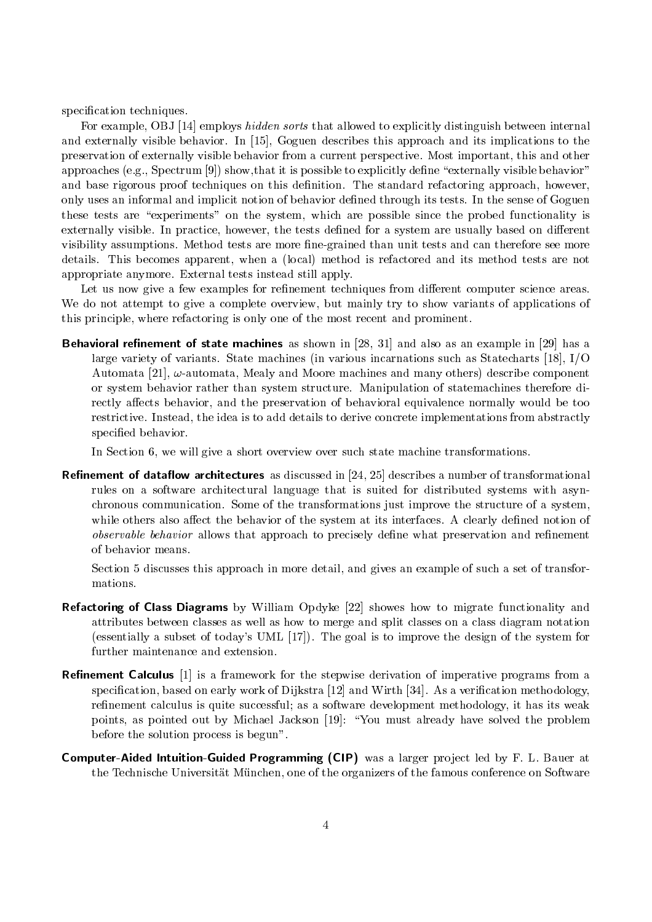specification techniques.

For example, OBJ [14] employs *hidden sorts* that allowed to explicitly distinguish between internal and externally visible behavior. In [15], Goguen describes this approach and its implications to the preservation of externally visible behavior from a current perspective. Most important, this and other approaches (e.g., Spectrum [9]) show, that it is possible to explicitly define "externally visible behavior" and base rigorous proof techniques on this definition. The standard refactoring approach, however, only uses an informal and implicit notion of behavior defined through its tests. In the sense of Goguen these tests are "experiments" on the system, which are possible since the probed functionality is externally visible. In practice, however, the tests defined for a system are usually based on different visibility assumptions. Method tests are more fine-grained than unit tests and can therefore see more details. This becomes apparent, when a (local) method is refactored and its method tests are not appropriate anymore. External tests instead still apply.

Let us now give a few examples for refinement techniques from different computer science areas. We do not attempt to give a complete overview, but mainly try to show variants of applications of this principle, where refactoring is only one of the most recent and prominent.

**Behavioral refinement of state machines** as shown in [28, 31] and also as an example in [29] has a large variety of variants. State machines (in various incarnations such as Statecharts [18],  $I/O$ Automata [21],  $\omega$ -automata, Mealy and Moore machines and many others) describe component or system behavior rather than system structure. Manipulation of statemachines therefore directly affects behavior, and the preservation of behavioral equivalence normally would be too restrictive. Instead, the idea is to add details to derive concrete implementations from abstractly specified behavior.

In Section 6, we will give a short overview over such state machine transformations.

**Refinement of dataflow architectures** as discussed in [24, 25] describes a number of transformational rules on a software architectural language that is suited for distributed systems with asynchronous communication. Some of the transformations just improve the structure of a system, while others also affect the behavior of the system at its interfaces. A clearly defined notion of *observable behavior* allows that approach to precisely define what preservation and refinement of behavior means.

Section 5 discusses this approach in more detail, and gives an example of such a set of transformations.

- **Refactoring of Class Diagrams** by William Opdyke [22] showes how to migrate functionality and attributes between classes as well as how to merge and split classes on a class diagram notation (essentially a subset of today's UML [17]). The goal is to improve the design of the system for further maintenance and extension.
- **Refinement Calculus** [1] is a framework for the stepwise derivation of imperative programs from a specification, based on early work of Diikstra [12] and Wirth [34]. As a verification methodology, refinement calculus is quite successful; as a software development methodology, it has its weak points, as pointed out by Michael Jackson [19]: "You must already have solved the problem before the solution process is begun".
- Computer-Aided Intuition-Guided Programming (CIP) was a larger project led by F. L. Bauer at the Technische Universität München, one of the organizers of the famous conference on Software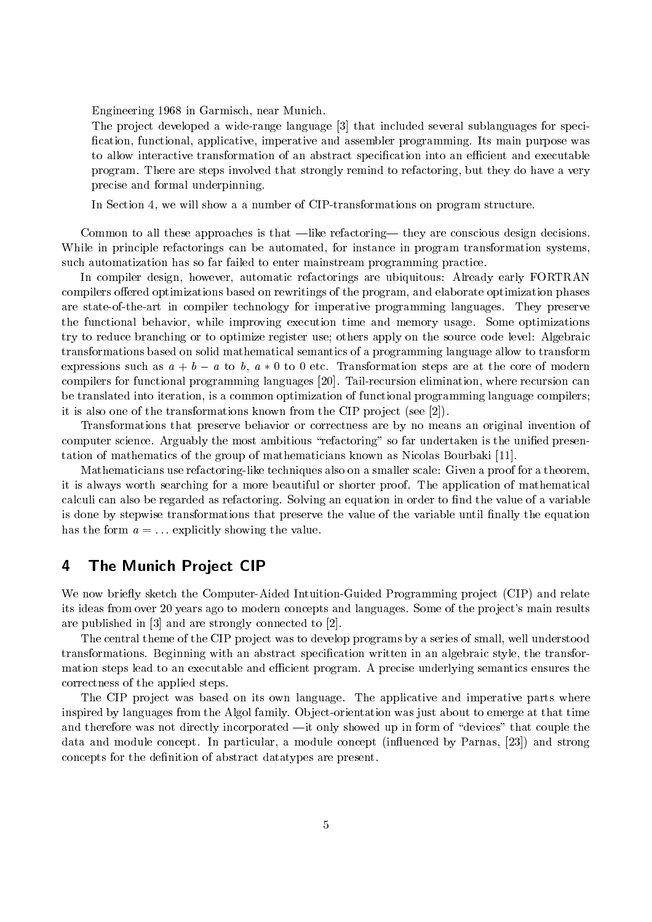Engineering 1968 in Garmisch, near Munich.

The project developed a wide-range language [3] that included several sublanguages for specification, functional, applicative, imperative and assembler programming. Its main purpose was to allow interactive transformation of an abstract specification into an efficient and executable program. There are steps involved that strongly remind to refactoring, but they do have a very precise and formal underpinning.

In Section 4, we will show a a number of CIP-transformations on program structure.

Common to all these approaches is that —like refactoring— they are conscious design decisions. While in principle refactorings can be automated, for instance in program transformation systems, such automatization has so far failed to enter mainstream programming practice.

In compiler design, however, automatic refactorings are ubiquitous: Already early FORTRAN compilers offered optimizations based on rewritings of the program, and elaborate optimization phases are state-of-the-art in compiler technology for imperative programming languages. They preserve the functional behavior, while improving execution time and memory usage. Some optimizations try to reduce branching or to optimize register use; others apply on the source code level: Algebraic transformations based on solid mathematical semantics of a programming language allow to transform expressions such as  $a + b - a$  to b,  $a * 0$  to 0 etc. Transformation steps are at the core of modern compilers for functional programming languages [20]. Tail-recursion elimination, where recursion can be translated into iteration, is a common optimization of functional programming language compilers; it is also one of the transformations known from the CIP project (see [2]).

Transformations that preserve behavior or correctness are by no means an original invention of computer science. Arguably the most ambitious "refactoring" so far undertaken is the unified presentation of mathematics of the group of mathematicians known as Nicolas Bourbaki [11].

Mathematicians use refactoring-like techniques also on a smaller scale: Given a proof for a theorem, it is always worth searching for a more beautiful or shorter proof. The application of mathematical calculi can also be regarded as refactoring. Solving an equation in order to find the value of a variable is done by stepwise transformations that preserve the value of the variable until finally the equation has the form  $a = \ldots$  explicitly showing the value.

#### 4 **The Munich Project CIP**

We now briefly sketch the Computer-Aided Intuition-Guided Programming project (CIP) and relate its ideas from over 20 years ago to modern concepts and languages. Some of the project's main results are published in  $[3]$  and are strongly connected to  $[2]$ .

The central theme of the CIP project was to develop programs by a series of small, well understood transformations. Beginning with an abstract specification written in an algebraic style, the transformation steps lead to an executable and efficient program. A precise underlying semantics ensures the correctness of the applied steps.

The CIP project was based on its own language. The applicative and imperative parts where inspired by languages from the Algol family. Object-orientation was just about to emerge at that time and therefore was not directly incorporated —it only showed up in form of "devices" that couple the data and module concept. In particular, a module concept (influenced by Parnas, [23]) and strong concepts for the definition of abstract data types are present.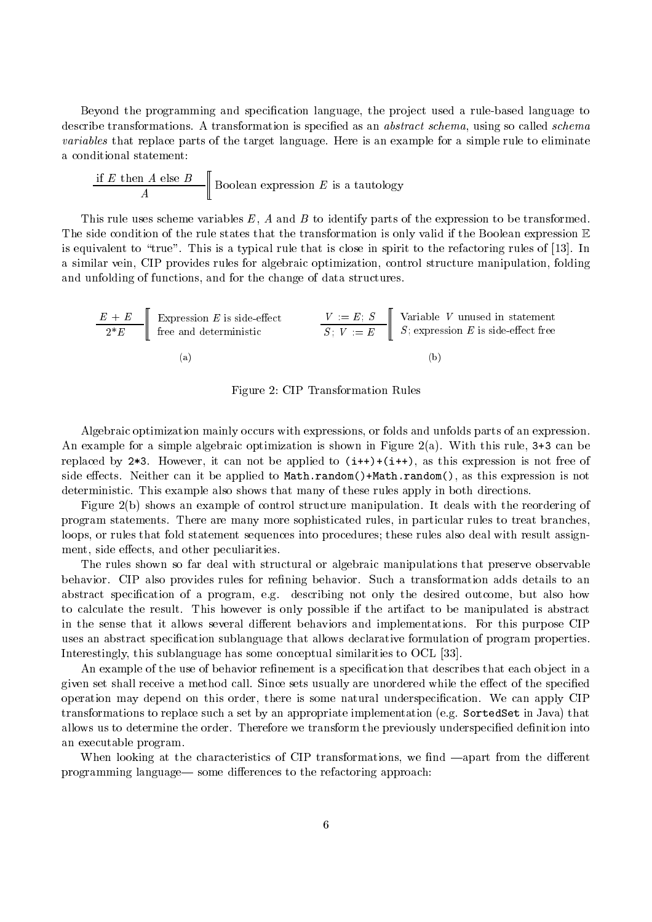Beyond the programming and specification language, the project used a rule-based language to describe transformations. A transformation is specified as an *abstract schema*, using so called *schema variables* that replace parts of the target language. Here is an example for a simple rule to eliminate a conditional statement:

$$
\frac{\text{if } E \text{ then } A \text{ else } B}{A} \qquad \qquad \text{Boolean expression } E \text{ is a tautology}
$$

This rule uses scheme variables  $E$ , A and B to identify parts of the expression to be transformed. The side condition of the rule states that the transformation is only valid if the Boolean expression  $E$ is equivalent to "true". This is a typical rule that is close in spirit to the refactoring rules of [13]. In a similar vein, CIP provides rules for algebraic optimization, control structure manipulation, folding and unfolding of functions, and for the change of data structures.

| $E + E$ | Expression $E$ is side-effect | $V := E$ ; $S$ | Variable $V$ unused in statement   |
|---------|-------------------------------|----------------|------------------------------------|
| $2*E$   | free and deterministic        | $S$ ; $V := E$ | Signersion $E$ is side-effect free |
| (a)     | (b)                           |                |                                    |

Figure 2: CIP Transformation Rules

Algebraic optimization mainly occurs with expressions, or folds and unfolds parts of an expression. An example for a simple algebraic optimization is shown in Figure 2(a). With this rule,  $3+3$  can be replaced by 2\*3. However, it can not be applied to  $(i++)+(i++)$ , as this expression is not free of side effects. Neither can it be applied to Math.random()+Math.random(), as this expression is not deterministic. This example also shows that many of these rules apply in both directions.

Figure  $2(b)$  shows an example of control structure manipulation. It deals with the reordering of program statements. There are many more sophisticated rules, in particular rules to treat branches, loops, or rules that fold statement sequences into procedures; these rules also deal with result assignment, side effects, and other peculiarities.

The rules shown so far deal with structural or algebraic manipulations that preserve observable behavior. CIP also provides rules for refining behavior. Such a transformation adds details to an abstract specification of a program, e.g. describing not only the desired outcome, but also how to calculate the result. This however is only possible if the artifact to be manipulated is abstract in the sense that it allows several different behaviors and implementations. For this purpose CIP uses an abstract specification sublanguage that allows declarative formulation of program properties. Interestingly, this sublanguage has some conceptual similarities to OCL [33].

An example of the use of behavior refinement is a specification that describes that each object in a given set shall receive a method call. Since sets usually are unordered while the effect of the specified operation may depend on this order, there is some natural underspecification. We can apply CIP transformations to replace such a set by an appropriate implementation (e.g. SortedSet in Java) that allows us to determine the order. Therefore we transform the previously underspecified definition into an executable program.

When looking at the characteristics of CIP transformations, we find —apart from the different programming language— some differences to the refactoring approach: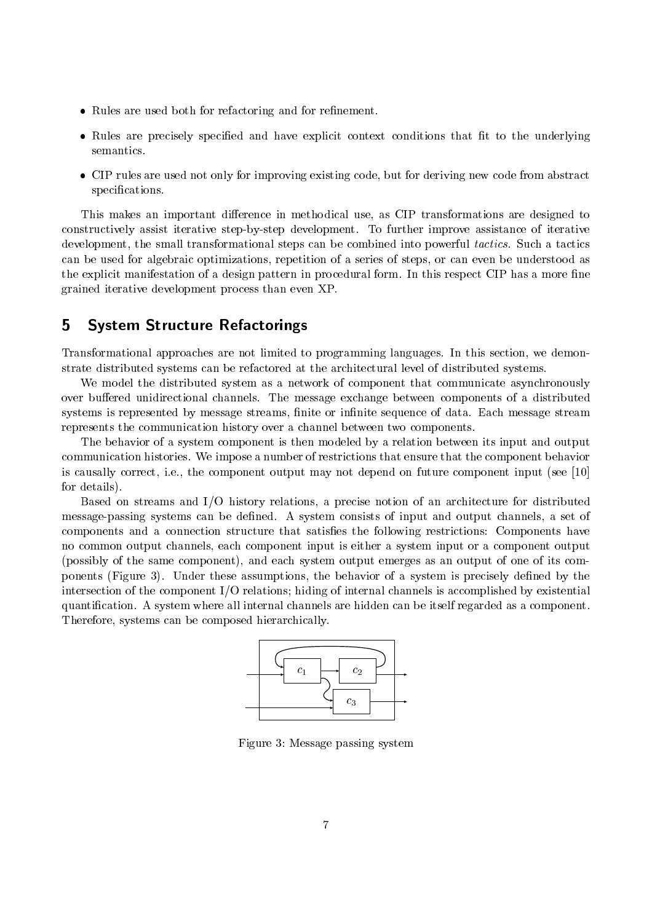- Rules are used both for refactoring and for refinement.
- Rules are precisely specified and have explicit context conditions that fit to the underlying semantics.
- CIP rules are used not only for improving existing code, but for deriving new code from abstract specifications.

This makes an important difference in methodical use, as CIP transformations are designed to constructively assist iterative step-by-step development. To further improve assistance of iterative development, the small transformational steps can be combined into powerful *tactics*. Such a tactics can be used for algebraic optimizations, repetition of a series of steps, or can even be understood as the explicit manifestation of a design pattern in procedural form. In this respect CIP has a more fine grained iterative development process than even XP.

## 5 **System Structure Refactorings**

Transformational approaches are not limited to programming languages. In this section, we demonstrate distributed systems can be refactored at the architectural level of distributed systems.

We model the distributed system as a network of component that communicate asynchronously over buffered unidirectional channels. The message exchange between components of a distributed systems is represented by message streams, finite or infinite sequence of data. Each message stream represents the communication history over a channel between two components.

The behavior of a system component is then modeled by a relation between its input and output communication histories. We impose a number of restrictions that ensure that the component behavior is causally correct, i.e., the component output may not depend on future component input (see [10] for details).

Based on streams and I/O history relations, a precise notion of an architecture for distributed message-passing systems can be defined. A system consists of input and output channels, a set of components and a connection structure that satisfies the following restrictions: Components have no common output channels, each component input is either a system input or a component output (possibly of the same component), and each system output emerges as an output of one of its components (Figure 3). Under these assumptions, the behavior of a system is precisely defined by the intersection of the component I/O relations; hiding of internal channels is accomplished by existential quantification. A system where all internal channels are hidden can be itself regarded as a component. Therefore, systems can be composed hierarchically.



Figure 3: Message passing system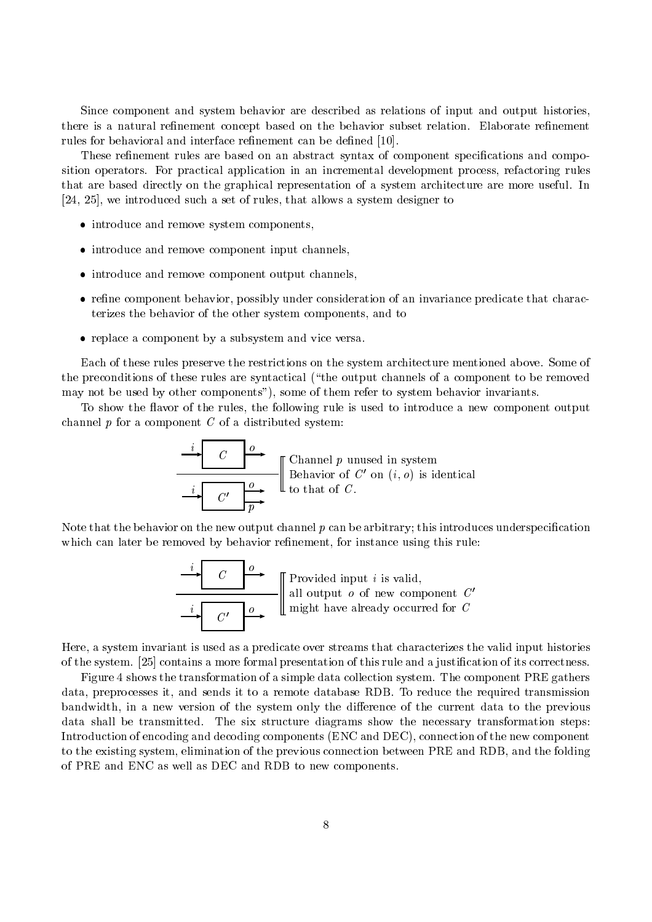Since component and system behavior are described as relations of input and output histories, there is a natural refinement concept based on the behavior subset relation. Elaborate refinement rules for behavioral and interface refinement can be defined [10].

These refinement rules are based on an abstract syntax of component specifications and composition operators. For practical application in an incremental development process, refactoring rules that are based directly on the graphical representation of a system architecture are more useful. In  $[24, 25]$ , we introduced such a set of rules, that allows a system designer to

- introduce and remove system components.
- introduce and remove component input channels,
- introduce and remove component output channels,
- refine component behavior, possibly under consideration of an invariance predicate that characterizes the behavior of the other system components, and to
- replace a component by a subsystem and vice versa.

Each of these rules preserve the restrictions on the system architecture mentioned above. Some of the preconditions of these rules are syntactical ("the output channels of a component to be removed may not be used by other components"), some of them refer to system behavior invariants.

To show the flavor of the rules, the following rule is used to introduce a new component output channel  $p$  for a component  $C$  of a distributed system:



Note that the behavior on the new output channel  $p$  can be arbitrary; this introduces underspecification which can later be removed by behavior refinement, for instance using this rule:



Here, a system invariant is used as a predicate over streams that characterizes the valid input histories of the system. [25] contains a more formal presentation of this rule and a justification of its correctness.

Figure 4 shows the transformation of a simple data collection system. The component PRE gathers data, preprocesses it, and sends it to a remote database RDB. To reduce the required transmission bandwidth, in a new version of the system only the difference of the current data to the previous data shall be transmitted. The six structure diagrams show the necessary transformation steps: Introduction of encoding and decoding components (ENC and DEC), connection of the new component to the existing system, elimination of the previous connection between PRE and RDB, and the folding of PRE and ENC as well as DEC and RDB to new components.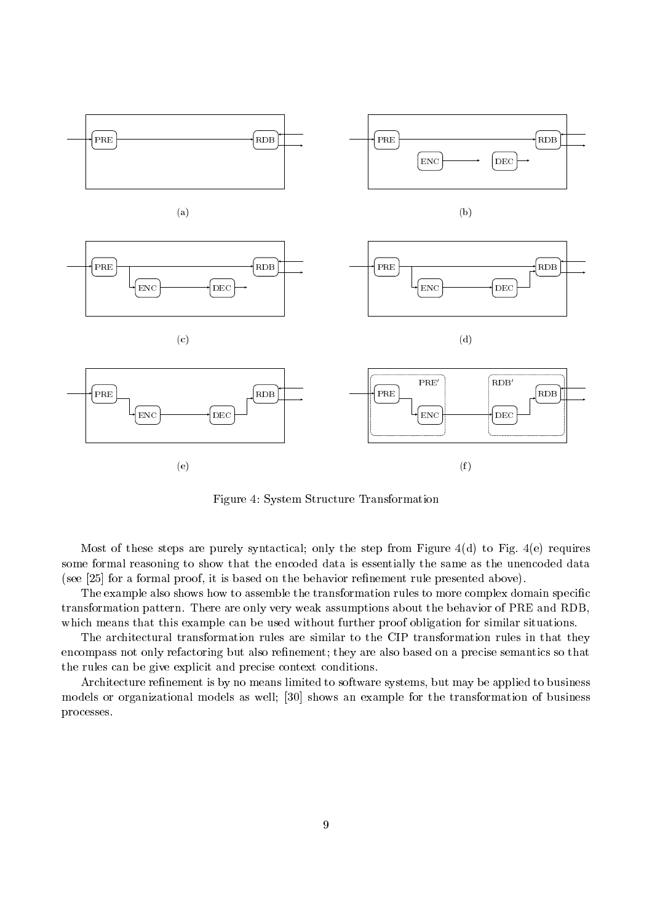

Figure 4: System Structure Transformation

Most of these steps are purely syntactical; only the step from Figure  $4(d)$  to Fig.  $4(e)$  requires some formal reasoning to show that the encoded data is essentially the same as the unencoded data (see [25] for a formal proof, it is based on the behavior refinement rule presented above).

The example also shows how to assemble the transformation rules to more complex domain specific transformation pattern. There are only very weak assumptions about the behavior of PRE and RDB. which means that this example can be used without further proof obligation for similar situations.

The architectural transformation rules are similar to the CIP transformation rules in that they encompass not only refactoring but also refinement; they are also based on a precise semantics so that the rules can be give explicit and precise context conditions.

Architecture refinement is by no means limited to software systems, but may be applied to business models or organizational models as well; [30] shows an example for the transformation of business processes.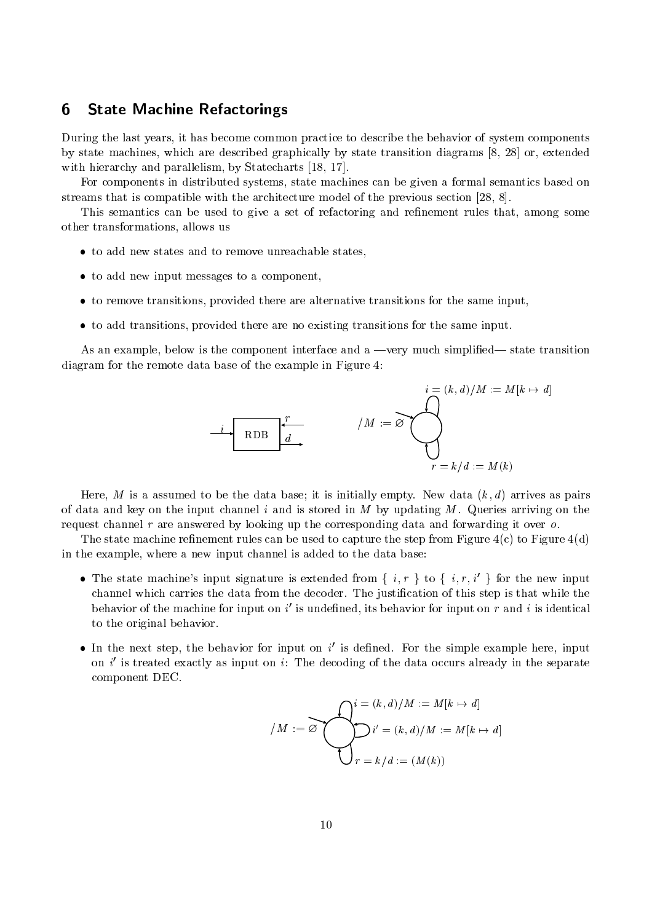#### 6 **State Machine Refactorings**

During the last years, it has become common practice to describe the behavior of system components by state machines, which are described graphically by state transition diagrams [8, 28] or, extended with hierarchy and parallelism, by Statecharts [18, 17].

For components in distributed systems, state machines can be given a formal semantics based on streams that is compatible with the architecture model of the previous section [28, 8].

This semantics can be used to give a set of refactoring and refinement rules that, among some other transformations, allows us

- to add new states and to remove unreachable states,
- to add new input messages to a component,
- to remove transitions, provided there are alternative transitions for the same input,
- to add transitions, provided there are no existing transitions for the same input.

As an example, below is the component interface and a —very much simplified— state transition diagram for the remote data base of the example in Figure 4:



Here, M is a assumed to be the data base; it is initially empty. New data  $(k, d)$  arrives as pairs of data and key on the input channel i and is stored in M by updating M. Queries arriving on the request channel  $r$  are answered by looking up the corresponding data and forwarding it over  $o$ .

The state machine refinement rules can be used to capture the step from Figure  $4(c)$  to Figure  $4(d)$ in the example, where a new input channel is added to the data base:

- The state machine's input signature is extended from  $\{i, r\}$  to  $\{i, r, i'\}$  for the new input channel which carries the data from the decoder. The justification of this step is that while the behavior of the machine for input on  $i'$  is undefined, its behavior for input on r and i is identical to the original behavior.
- In the next step, the behavior for input on  $i'$  is defined. For the simple example here, input on i' is treated exactly as input on i: The decoding of the data occurs already in the separate component DEC.

$$
/M := \mathcal{D} \bigotimes^{i} i = (k, d) / M := M[k \rightarrow d]
$$

$$
i' = (k, d) / M := M[k \rightarrow d]
$$

$$
r = k/d := (M(k))
$$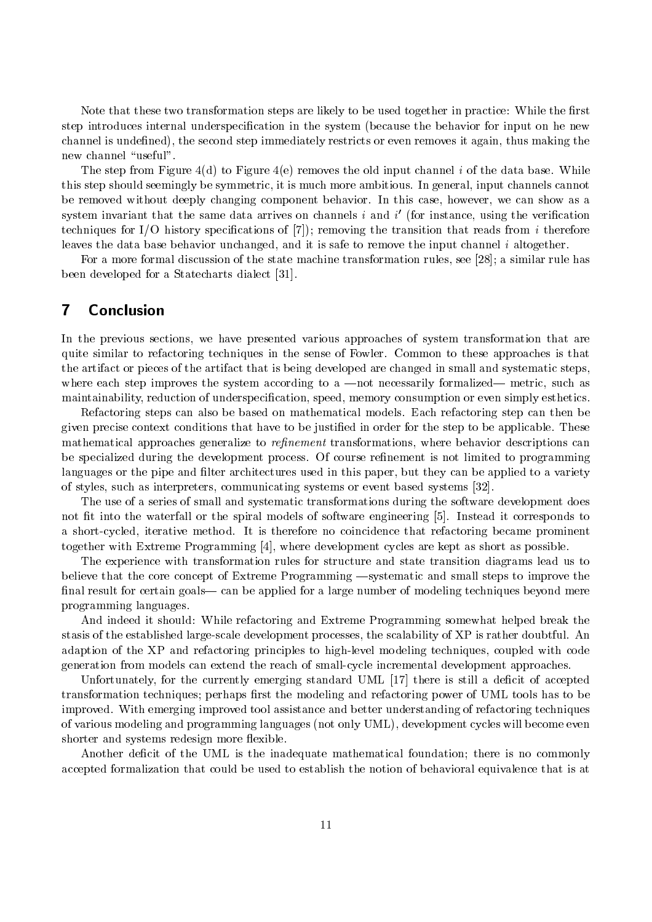Note that these two transformation steps are likely to be used together in practice: While the first step introduces internal underspecification in the system (because the behavior for input on he new channel is undefined), the second step immediately restricts or even removes it again, thus making the new channel "useful".

The step from Figure 4(d) to Figure 4(e) removes the old input channel i of the data base. While this step should seemingly be symmetric, it is much more ambitious. In general, input channels cannot be removed without deeply changing component behavior. In this case, however, we can show as a system invariant that the same data arrives on channels i and  $i'$  (for instance, using the verification techniques for I/O history specifications of [7]); removing the transition that reads from i therefore leaves the data base behavior unchanged, and it is safe to remove the input channel  $i$  altogether.

For a more formal discussion of the state machine transformation rules, see [28]; a similar rule has been developed for a Statecharts dialect [31].

#### $\overline{\mathbf{7}}$ **Conclusion**

In the previous sections, we have presented various approaches of system transformation that are quite similar to refactoring techniques in the sense of Fowler. Common to these approaches is that the artifact or pieces of the artifact that is being developed are changed in small and systematic steps. where each step improves the system according to a —not necessarily formalized— metric, such as maintainability, reduction of underspecification, speed, memory consumption or even simply esthetics.

Refactoring steps can also be based on mathematical models. Each refactoring step can then be given precise context conditions that have to be justified in order for the step to be applicable. These mathematical approaches generalize to *refinement* transformations, where behavior descriptions can be specialized during the development process. Of course refinement is not limited to programming languages or the pipe and filter architectures used in this paper, but they can be applied to a variety of styles, such as interpreters, communicating systems or event based systems [32].

The use of a series of small and systematic transformations during the software development does not fit into the waterfall or the spiral models of software engineering [5]. Instead it corresponds to a short-cycled, iterative method. It is therefore no coincidence that refactoring became prominent together with Extreme Programming [4], where development cycles are kept as short as possible.

The experience with transformation rules for structure and state transition diagrams lead us to believe that the core concept of Extreme Programming —systematic and small steps to improve the final result for certain goals— can be applied for a large number of modeling techniques beyond mere programming languages.

And indeed it should: While refactoring and Extreme Programming somewhat helped break the stasis of the established large-scale development processes, the scalability of XP is rather doubtful. An adaption of the XP and refactoring principles to high-level modeling techniques, coupled with code generation from models can extend the reach of small-cycle incremental development approaches.

Unfortunately, for the currently emerging standard UML [17] there is still a deficit of accepted transformation techniques; perhaps first the modeling and refactoring power of UML tools has to be improved. With emerging improved tool assistance and better understanding of refactoring techniques of various modeling and programming languages (not only UML), development cycles will become even shorter and systems redesign more flexible.

Another deficit of the UML is the inadequate mathematical foundation; there is no commonly accepted formalization that could be used to establish the notion of behavioral equivalence that is at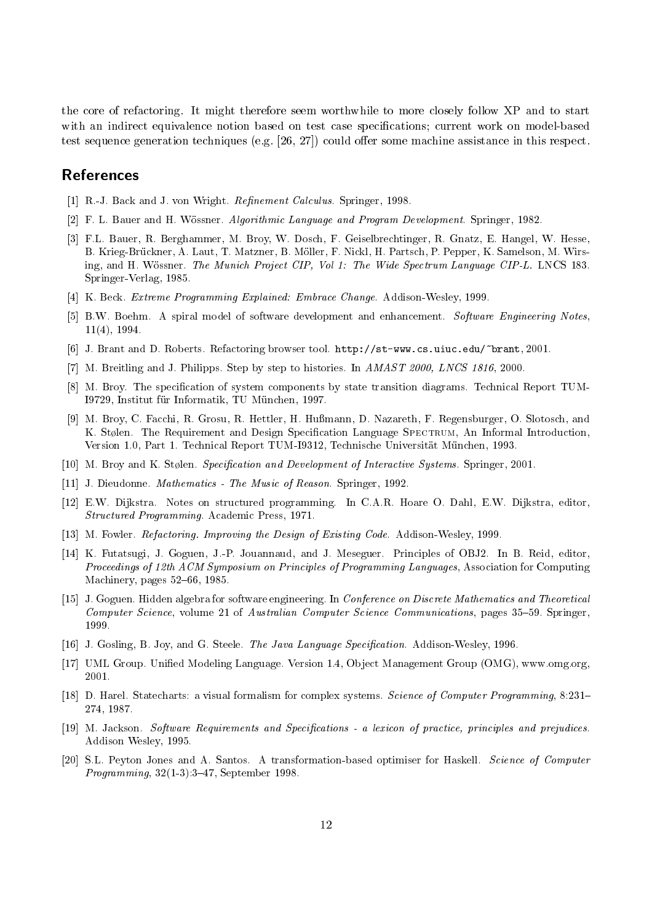the core of refactoring. It might therefore seem worthwhile to more closely follow XP and to start with an indirect equivalence notion based on test case specifications; current work on model-based test sequence generation techniques (e.g.  $[26, 27]$ ) could offer some machine assistance in this respect.

# **References**

- [1] R.-J. Back and J. von Wright. Refinement Calculus. Springer, 1998.
- [2] F. L. Bauer and H. Wössner. Algorithmic Language and Program Development. Springer, 1982.
- [3] F.L. Bauer, R. Berghammer, M. Broy, W. Dosch, F. Geiselbrechtinger, R. Gnatz, E. Hangel, W. Hesse, B. Krieg-Brückner, A. Laut, T. Matzner, B. Möller, F. Nickl, H. Partsch, P. Pepper, K. Samelson, M. Wirsing, and H. Wössner. The Munich Project CIP, Vol 1: The Wide Spectrum Language CIP-L. LNCS 183. Springer-Verlag, 1985.
- [4] K. Beck. *Extreme Programming Explained: Embrace Change.* Addison-Wesley, 1999.
- [5] B.W. Boehm. A spiral model of software development and enhancement. Software Engineering Notes,  $11(4)$ , 1994.
- [6] J. Brant and D. Roberts. Refactoring browser tool. http://st-www.cs.uiuc.edu/~brant, 2001.
- [7] M. Breitling and J. Philipps. Step by step to histories. In AMAST 2000, LNCS 1816, 2000.
- [8] M. Broy. The specification of system components by state transition diagrams. Technical Report TUM-19729, Institut für Informatik, TU München, 1997.
- [9] M. Broy, C. Facchi, R. Grosu, R. Hettler, H. Hußmann, D. Nazareth, F. Regensburger, O. Slotosch, and K. Stølen. The Requirement and Design Specification Language SPECTRUM, An Informal Introduction, Version 1.0, Part 1. Technical Report TUM-19312, Technische Universität München, 1993.
- [10] M. Broy and K. Stølen. Specification and Development of Interactive Systems. Springer, 2001.
- [11] J. Dieudonne. Mathematics The Music of Reason. Springer, 1992.
- [12] E.W. Dijkstra. Notes on structured programming. In C.A.R. Hoare O. Dahl, E.W. Dijkstra, editor, *Structured Programming.* Academic Press, 1971.
- [13] M. Fowler. Refactoring. Improving the Design of Existing Code. Addison-Wesley, 1999.
- [14] K. Futatsugi, J. Goguen, J.-P. Jouannaud, and J. Meseguer. Principles of OBJ2. In B. Reid, editor, Proceedings of 12th ACM Symposium on Principles of Programming Languages, Association for Computing Machinery, pages 52-66, 1985.
- [15] J. Goguen. Hidden algebra for software engineering. In Conference on Discrete Mathematics and Theoretical Computer Science, volume 21 of Australian Computer Science Communications, pages 35–59. Springer, 1999
- [16] J. Gosling, B. Jov. and G. Steele. The Java Language Specification. Addison-Wesley, 1996.
- [17] UML Group. Unified Modeling Language. Version 1.4, Object Management Group (OMG), www.omg.org, 2001.
- [18] D. Harel. Statecharts: a visual formalism for complex systems. Science of Computer Programming, 8:231– 274, 1987.
- [19] M. Jackson. Software Requirements and Specifications a lexicon of practice, principles and prejudices. Addison Wesley, 1995.
- [20] S.L. Peyton Jones and A. Santos. A transformation-based optimiser for Haskell. Science of Computer *Programming*,  $32(1-3):3-47$ , September 1998.